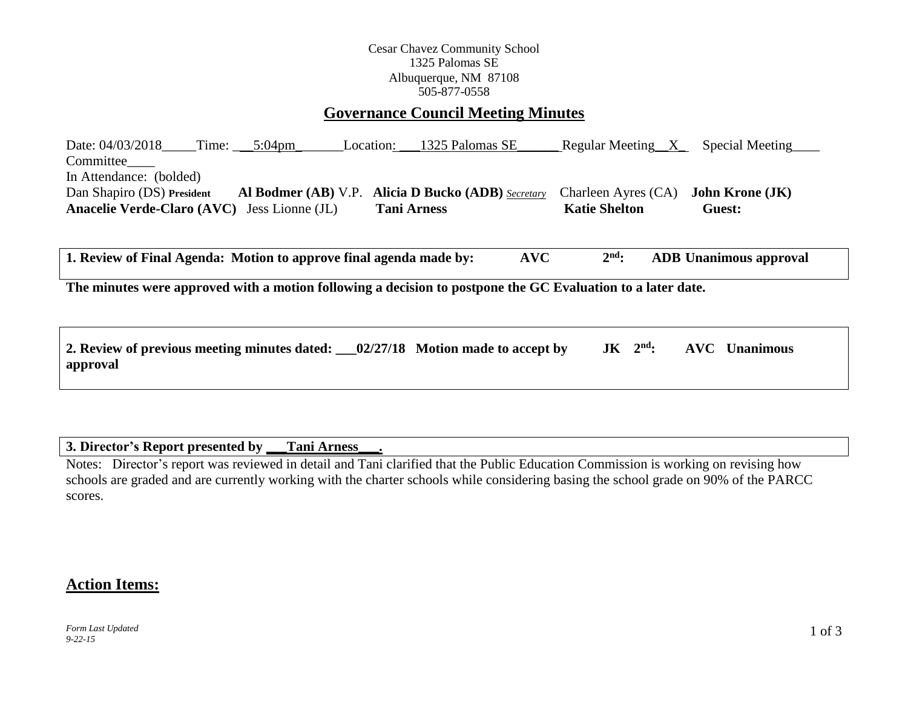## Cesar Chavez Community School 1325 Palomas SE Albuquerque, NM 87108 505-877-0558

# **Governance Council Meeting Minutes**

Date: 04/03/2018\_\_\_\_Time: \_\_\_\_5:04pm\_\_\_\_\_\_\_\_Location: \_\_\_1325 Palomas SE\_\_\_\_\_\_\_Regular Meeting\_\_X\_\_\_\_Special Meeting Committee In Attendance: (bolded) Dan Shapiro (DS) **President Al Bodmer (AB)** V.P. **Alicia D Bucko (ADB)** *Secretary* Charleen Ayres (CA) **John Krone (JK) Anacelie Verde-Claro** (AVC) Jess Lionne (JL) **Tani Arness Katie Shelton Guest: Guest: Guest: Guest: Guest: Guest: C** 

**1. Review of Final Agenda: Motion to approve final agenda made by: AVC 2 nd: ADB Unanimous approval**

**The minutes were approved with a motion following a decision to postpone the GC Evaluation to a later date.**

| 2. Review of previous meeting minutes dated: __02/27/18 Motion made to accept by |  |  | $JK$ $2nd$ : AVC Unanimous |
|----------------------------------------------------------------------------------|--|--|----------------------------|
| approval                                                                         |  |  |                            |

### **3. Director's Report presented by \_\_\_Tani Arness\_\_\_.**

Notes: Director's report was reviewed in detail and Tani clarified that the Public Education Commission is working on revising how schools are graded and are currently working with the charter schools while considering basing the school grade on 90% of the PARCC scores.

# **Action Items:**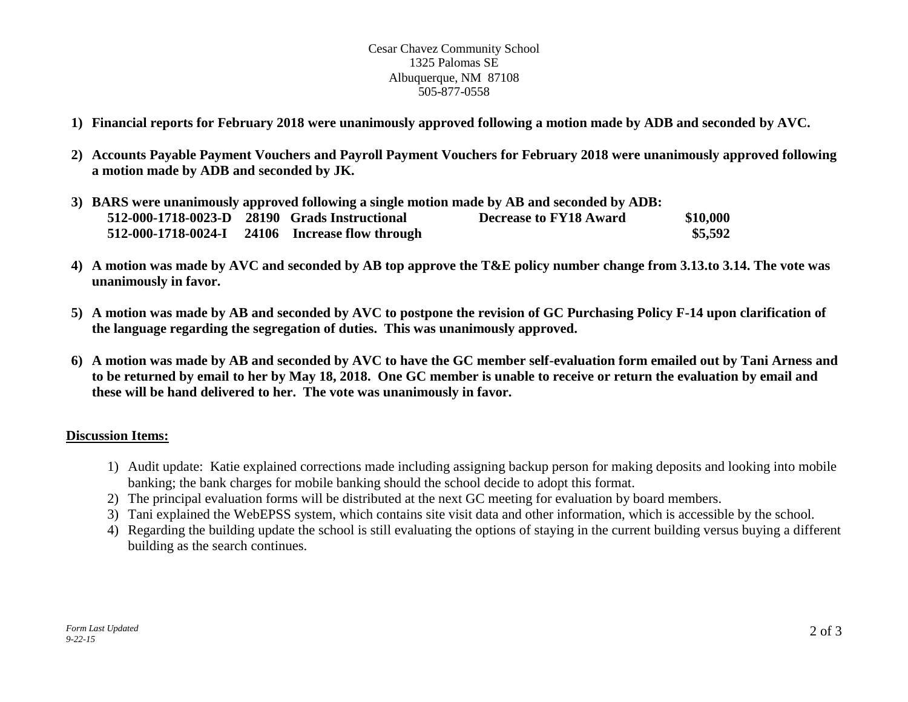### Cesar Chavez Community School 1325 Palomas SE Albuquerque, NM 87108 505-877-0558

- **1) Financial reports for February 2018 were unanimously approved following a motion made by ADB and seconded by AVC.**
- **2) Accounts Payable Payment Vouchers and Payroll Payment Vouchers for February 2018 were unanimously approved following a motion made by ADB and seconded by JK.**

| 3) BARS were unanimously approved following a single motion made by AB and seconded by ADB: |                                               |  |                                                 |                        |          |  |  |
|---------------------------------------------------------------------------------------------|-----------------------------------------------|--|-------------------------------------------------|------------------------|----------|--|--|
|                                                                                             | 512-000-1718-0023-D 28190 Grads Instructional |  |                                                 | Decrease to FY18 Award | \$10,000 |  |  |
|                                                                                             |                                               |  | 512-000-1718-0024-I 24106 Increase flow through |                        | \$5,592  |  |  |

- **4) A motion was made by AVC and seconded by AB top approve the T&E policy number change from 3.13.to 3.14. The vote was unanimously in favor.**
- **5) A motion was made by AB and seconded by AVC to postpone the revision of GC Purchasing Policy F-14 upon clarification of the language regarding the segregation of duties. This was unanimously approved.**
- **6) A motion was made by AB and seconded by AVC to have the GC member self-evaluation form emailed out by Tani Arness and to be returned by email to her by May 18, 2018. One GC member is unable to receive or return the evaluation by email and these will be hand delivered to her. The vote was unanimously in favor.**

## **Discussion Items:**

- 1) Audit update: Katie explained corrections made including assigning backup person for making deposits and looking into mobile banking; the bank charges for mobile banking should the school decide to adopt this format.
- 2) The principal evaluation forms will be distributed at the next GC meeting for evaluation by board members.
- 3) Tani explained the WebEPSS system, which contains site visit data and other information, which is accessible by the school.
- 4) Regarding the building update the school is still evaluating the options of staying in the current building versus buying a different building as the search continues.